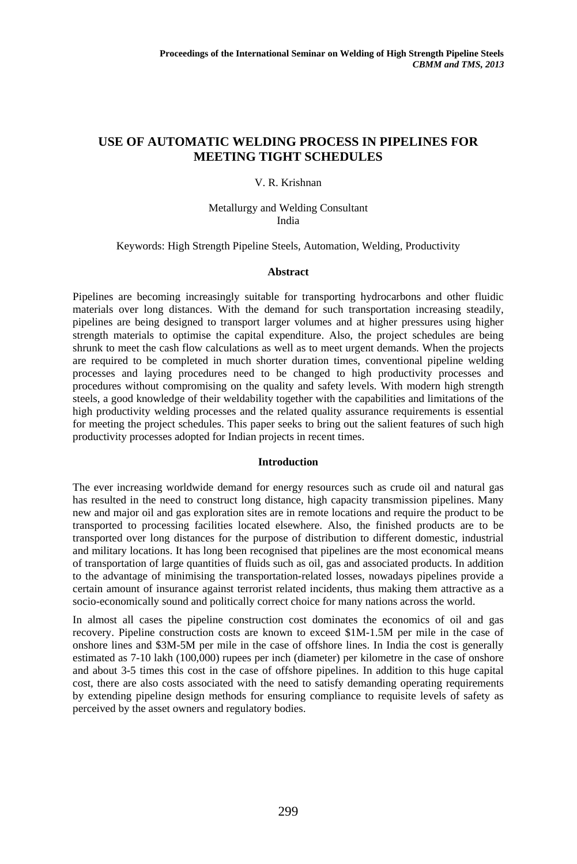# **USE OF AUTOMATIC WELDING PROCESS IN PIPELINES FOR MEETING TIGHT SCHEDULES**

# V. R. Krishnan

# Metallurgy and Welding Consultant India

### Keywords: High Strength Pipeline Steels, Automation, Welding, Productivity

#### **Abstract**

Pipelines are becoming increasingly suitable for transporting hydrocarbons and other fluidic materials over long distances. With the demand for such transportation increasing steadily, pipelines are being designed to transport larger volumes and at higher pressures using higher strength materials to optimise the capital expenditure. Also, the project schedules are being shrunk to meet the cash flow calculations as well as to meet urgent demands. When the projects are required to be completed in much shorter duration times, conventional pipeline welding processes and laying procedures need to be changed to high productivity processes and procedures without compromising on the quality and safety levels. With modern high strength steels, a good knowledge of their weldability together with the capabilities and limitations of the high productivity welding processes and the related quality assurance requirements is essential for meeting the project schedules. This paper seeks to bring out the salient features of such high productivity processes adopted for Indian projects in recent times.

### **Introduction**

The ever increasing worldwide demand for energy resources such as crude oil and natural gas has resulted in the need to construct long distance, high capacity transmission pipelines. Many new and major oil and gas exploration sites are in remote locations and require the product to be transported to processing facilities located elsewhere. Also, the finished products are to be transported over long distances for the purpose of distribution to different domestic, industrial and military locations. It has long been recognised that pipelines are the most economical means of transportation of large quantities of fluids such as oil, gas and associated products. In addition to the advantage of minimising the transportation-related losses, nowadays pipelines provide a certain amount of insurance against terrorist related incidents, thus making them attractive as a socio-economically sound and politically correct choice for many nations across the world.

In almost all cases the pipeline construction cost dominates the economics of oil and gas recovery. Pipeline construction costs are known to exceed \$1M-1.5M per mile in the case of onshore lines and \$3M-5M per mile in the case of offshore lines. In India the cost is generally estimated as 7-10 lakh (100,000) rupees per inch (diameter) per kilometre in the case of onshore and about 3-5 times this cost in the case of offshore pipelines. In addition to this huge capital cost, there are also costs associated with the need to satisfy demanding operating requirements by extending pipeline design methods for ensuring compliance to requisite levels of safety as perceived by the asset owners and regulatory bodies.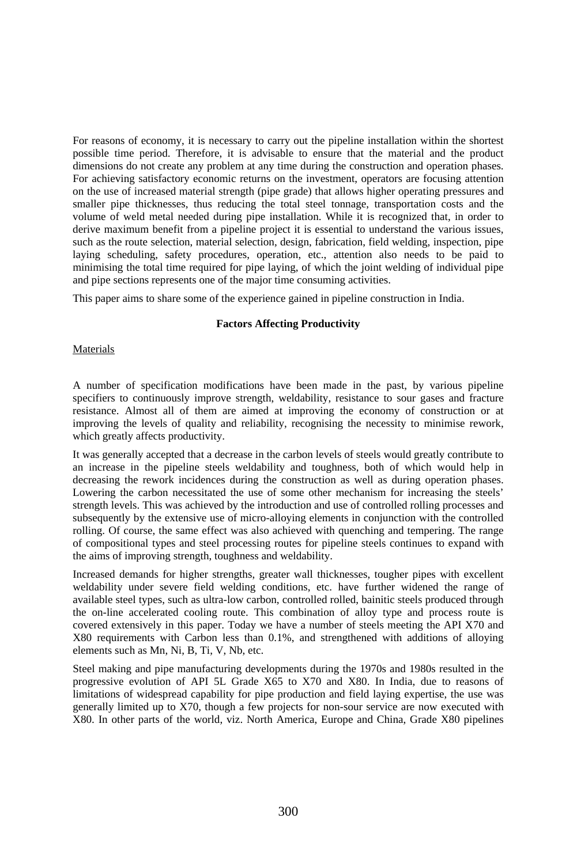For reasons of economy, it is necessary to carry out the pipeline installation within the shortest possible time period. Therefore, it is advisable to ensure that the material and the product dimensions do not create any problem at any time during the construction and operation phases. For achieving satisfactory economic returns on the investment, operators are focusing attention on the use of increased material strength (pipe grade) that allows higher operating pressures and smaller pipe thicknesses, thus reducing the total steel tonnage, transportation costs and the volume of weld metal needed during pipe installation. While it is recognized that, in order to derive maximum benefit from a pipeline project it is essential to understand the various issues, such as the route selection, material selection, design, fabrication, field welding, inspection, pipe laying scheduling, safety procedures, operation, etc., attention also needs to be paid to minimising the total time required for pipe laying, of which the joint welding of individual pipe and pipe sections represents one of the major time consuming activities.

This paper aims to share some of the experience gained in pipeline construction in India.

# **Factors Affecting Productivity**

# **Materials**

A number of specification modifications have been made in the past, by various pipeline specifiers to continuously improve strength, weldability, resistance to sour gases and fracture resistance. Almost all of them are aimed at improving the economy of construction or at improving the levels of quality and reliability, recognising the necessity to minimise rework, which greatly affects productivity.

It was generally accepted that a decrease in the carbon levels of steels would greatly contribute to an increase in the pipeline steels weldability and toughness, both of which would help in decreasing the rework incidences during the construction as well as during operation phases. Lowering the carbon necessitated the use of some other mechanism for increasing the steels' strength levels. This was achieved by the introduction and use of controlled rolling processes and subsequently by the extensive use of micro-alloying elements in conjunction with the controlled rolling. Of course, the same effect was also achieved with quenching and tempering. The range of compositional types and steel processing routes for pipeline steels continues to expand with the aims of improving strength, toughness and weldability.

Increased demands for higher strengths, greater wall thicknesses, tougher pipes with excellent weldability under severe field welding conditions, etc. have further widened the range of available steel types, such as ultra-low carbon, controlled rolled, bainitic steels produced through the on-line accelerated cooling route. This combination of alloy type and process route is covered extensively in this paper. Today we have a number of steels meeting the API X70 and X80 requirements with Carbon less than 0.1%, and strengthened with additions of alloying elements such as Mn, Ni, B, Ti, V, Nb, etc.

Steel making and pipe manufacturing developments during the 1970s and 1980s resulted in the progressive evolution of API 5L Grade X65 to X70 and X80. In India, due to reasons of limitations of widespread capability for pipe production and field laying expertise, the use was generally limited up to X70, though a few projects for non-sour service are now executed with X80. In other parts of the world, viz. North America, Europe and China, Grade X80 pipelines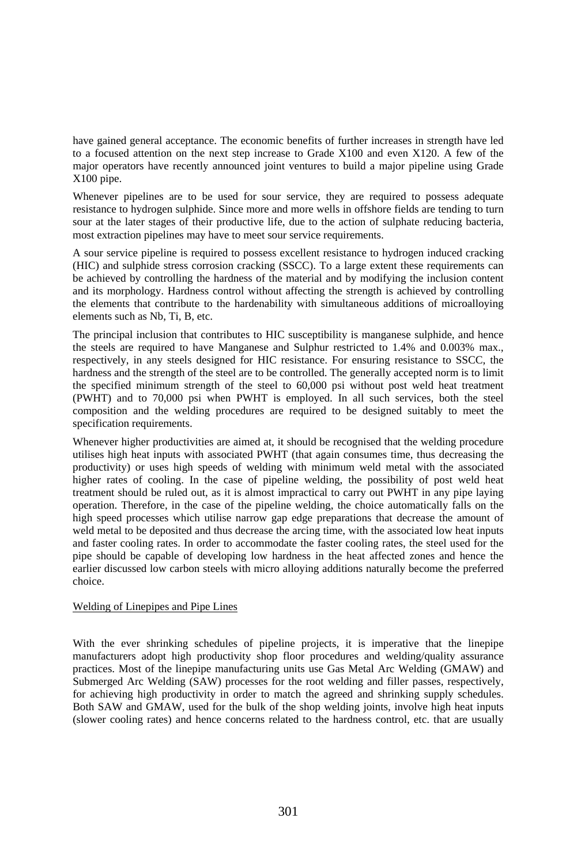have gained general acceptance. The economic benefits of further increases in strength have led to a focused attention on the next step increase to Grade X100 and even X120. A few of the major operators have recently announced joint ventures to build a major pipeline using Grade X100 pipe.

Whenever pipelines are to be used for sour service, they are required to possess adequate resistance to hydrogen sulphide. Since more and more wells in offshore fields are tending to turn sour at the later stages of their productive life, due to the action of sulphate reducing bacteria, most extraction pipelines may have to meet sour service requirements.

A sour service pipeline is required to possess excellent resistance to hydrogen induced cracking (HIC) and sulphide stress corrosion cracking (SSCC). To a large extent these requirements can be achieved by controlling the hardness of the material and by modifying the inclusion content and its morphology. Hardness control without affecting the strength is achieved by controlling the elements that contribute to the hardenability with simultaneous additions of microalloying elements such as Nb, Ti, B, etc.

The principal inclusion that contributes to HIC susceptibility is manganese sulphide, and hence the steels are required to have Manganese and Sulphur restricted to 1.4% and 0.003% max., respectively, in any steels designed for HIC resistance. For ensuring resistance to SSCC, the hardness and the strength of the steel are to be controlled. The generally accepted norm is to limit the specified minimum strength of the steel to 60,000 psi without post weld heat treatment (PWHT) and to 70,000 psi when PWHT is employed. In all such services, both the steel composition and the welding procedures are required to be designed suitably to meet the specification requirements.

Whenever higher productivities are aimed at, it should be recognised that the welding procedure utilises high heat inputs with associated PWHT (that again consumes time, thus decreasing the productivity) or uses high speeds of welding with minimum weld metal with the associated higher rates of cooling. In the case of pipeline welding, the possibility of post weld heat treatment should be ruled out, as it is almost impractical to carry out PWHT in any pipe laying operation. Therefore, in the case of the pipeline welding, the choice automatically falls on the high speed processes which utilise narrow gap edge preparations that decrease the amount of weld metal to be deposited and thus decrease the arcing time, with the associated low heat inputs and faster cooling rates. In order to accommodate the faster cooling rates, the steel used for the pipe should be capable of developing low hardness in the heat affected zones and hence the earlier discussed low carbon steels with micro alloying additions naturally become the preferred choice.

# Welding of Linepipes and Pipe Lines

With the ever shrinking schedules of pipeline projects, it is imperative that the linepipe manufacturers adopt high productivity shop floor procedures and welding/quality assurance practices. Most of the linepipe manufacturing units use Gas Metal Arc Welding (GMAW) and Submerged Arc Welding (SAW) processes for the root welding and filler passes, respectively, for achieving high productivity in order to match the agreed and shrinking supply schedules. Both SAW and GMAW, used for the bulk of the shop welding joints, involve high heat inputs (slower cooling rates) and hence concerns related to the hardness control, etc. that are usually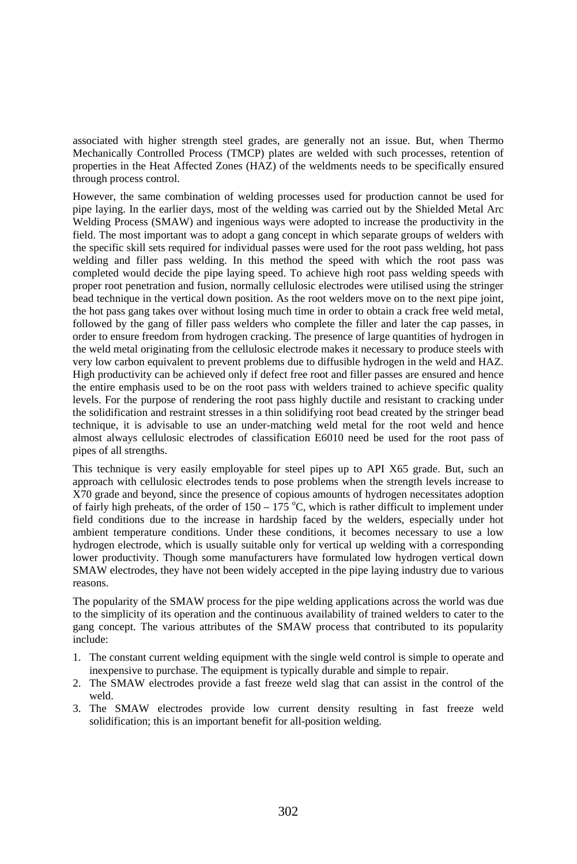associated with higher strength steel grades, are generally not an issue. But, when Thermo Mechanically Controlled Process (TMCP) plates are welded with such processes, retention of properties in the Heat Affected Zones (HAZ) of the weldments needs to be specifically ensured through process control.

However, the same combination of welding processes used for production cannot be used for pipe laying. In the earlier days, most of the welding was carried out by the Shielded Metal Arc Welding Process (SMAW) and ingenious ways were adopted to increase the productivity in the field. The most important was to adopt a gang concept in which separate groups of welders with the specific skill sets required for individual passes were used for the root pass welding, hot pass welding and filler pass welding. In this method the speed with which the root pass was completed would decide the pipe laying speed. To achieve high root pass welding speeds with proper root penetration and fusion, normally cellulosic electrodes were utilised using the stringer bead technique in the vertical down position. As the root welders move on to the next pipe joint, the hot pass gang takes over without losing much time in order to obtain a crack free weld metal, followed by the gang of filler pass welders who complete the filler and later the cap passes, in order to ensure freedom from hydrogen cracking. The presence of large quantities of hydrogen in the weld metal originating from the cellulosic electrode makes it necessary to produce steels with very low carbon equivalent to prevent problems due to diffusible hydrogen in the weld and HAZ. High productivity can be achieved only if defect free root and filler passes are ensured and hence the entire emphasis used to be on the root pass with welders trained to achieve specific quality levels. For the purpose of rendering the root pass highly ductile and resistant to cracking under the solidification and restraint stresses in a thin solidifying root bead created by the stringer bead technique, it is advisable to use an under-matching weld metal for the root weld and hence almost always cellulosic electrodes of classification E6010 need be used for the root pass of pipes of all strengths.

This technique is very easily employable for steel pipes up to API X65 grade. But, such an approach with cellulosic electrodes tends to pose problems when the strength levels increase to X70 grade and beyond, since the presence of copious amounts of hydrogen necessitates adoption of fairly high preheats, of the order of  $150 - 175$  °C, which is rather difficult to implement under field conditions due to the increase in hardship faced by the welders, especially under hot ambient temperature conditions. Under these conditions, it becomes necessary to use a low hydrogen electrode, which is usually suitable only for vertical up welding with a corresponding lower productivity. Though some manufacturers have formulated low hydrogen vertical down SMAW electrodes, they have not been widely accepted in the pipe laying industry due to various reasons.

The popularity of the SMAW process for the pipe welding applications across the world was due to the simplicity of its operation and the continuous availability of trained welders to cater to the gang concept. The various attributes of the SMAW process that contributed to its popularity include:

- 1. The constant current welding equipment with the single weld control is simple to operate and inexpensive to purchase. The equipment is typically durable and simple to repair.
- 2. The SMAW electrodes provide a fast freeze weld slag that can assist in the control of the weld.
- 3. The SMAW electrodes provide low current density resulting in fast freeze weld solidification; this is an important benefit for all-position welding.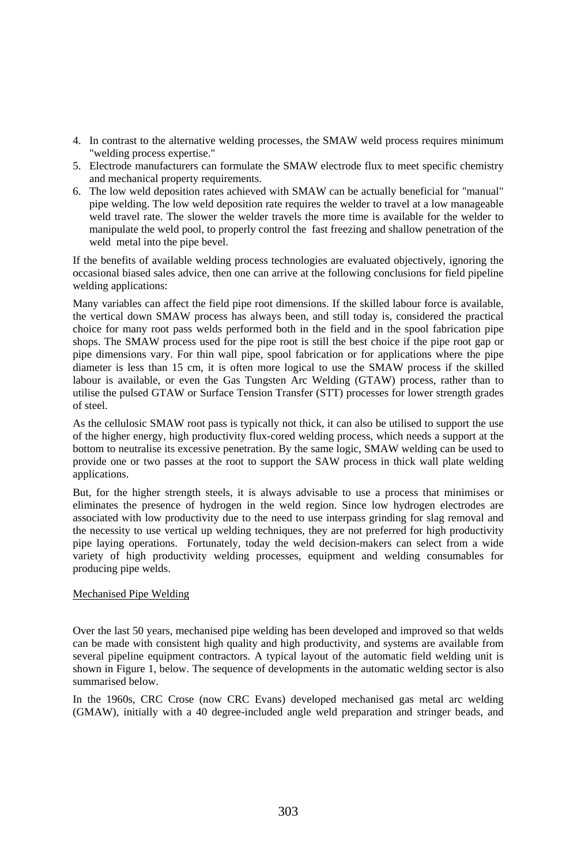- 4. In contrast to the alternative welding processes, the SMAW weld process requires minimum "welding process expertise."
- 5. Electrode manufacturers can formulate the SMAW electrode flux to meet specific chemistry and mechanical property requirements.
- 6. The low weld deposition rates achieved with SMAW can be actually beneficial for "manual" pipe welding. The low weld deposition rate requires the welder to travel at a low manageable weld travel rate. The slower the welder travels the more time is available for the welder to manipulate the weld pool, to properly control the fast freezing and shallow penetration of the weld metal into the pipe bevel.

If the benefits of available welding process technologies are evaluated objectively, ignoring the occasional biased sales advice, then one can arrive at the following conclusions for field pipeline welding applications:

Many variables can affect the field pipe root dimensions. If the skilled labour force is available, the vertical down SMAW process has always been, and still today is, considered the practical choice for many root pass welds performed both in the field and in the spool fabrication pipe shops. The SMAW process used for the pipe root is still the best choice if the pipe root gap or pipe dimensions vary. For thin wall pipe, spool fabrication or for applications where the pipe diameter is less than 15 cm, it is often more logical to use the SMAW process if the skilled labour is available, or even the Gas Tungsten Arc Welding (GTAW) process, rather than to utilise the pulsed GTAW or Surface Tension Transfer (STT) processes for lower strength grades of steel.

As the cellulosic SMAW root pass is typically not thick, it can also be utilised to support the use of the higher energy, high productivity flux-cored welding process, which needs a support at the bottom to neutralise its excessive penetration. By the same logic, SMAW welding can be used to provide one or two passes at the root to support the SAW process in thick wall plate welding applications.

But, for the higher strength steels, it is always advisable to use a process that minimises or eliminates the presence of hydrogen in the weld region. Since low hydrogen electrodes are associated with low productivity due to the need to use interpass grinding for slag removal and the necessity to use vertical up welding techniques, they are not preferred for high productivity pipe laying operations. Fortunately, today the weld decision-makers can select from a wide variety of high productivity welding processes, equipment and welding consumables for producing pipe welds.

# Mechanised Pipe Welding

Over the last 50 years, mechanised pipe welding has been developed and improved so that welds can be made with consistent high quality and high productivity, and systems are available from several pipeline equipment contractors. A typical layout of the automatic field welding unit is shown in Figure 1, below. The sequence of developments in the automatic welding sector is also summarised below.

In the 1960s, CRC Crose (now CRC Evans) developed mechanised gas metal arc welding (GMAW), initially with a 40 degree-included angle weld preparation and stringer beads, and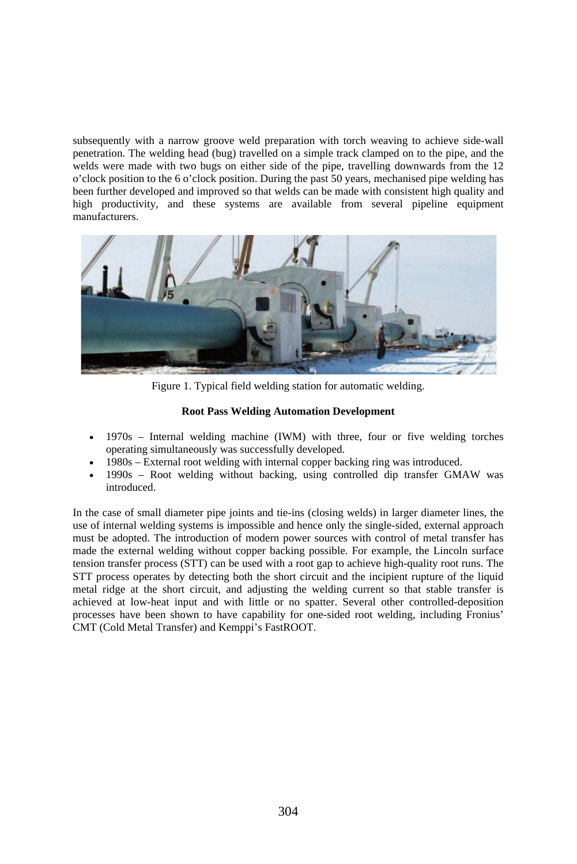subsequently with a narrow groove weld preparation with torch weaving to achieve side-wall penetration. The welding head (bug) travelled on a simple track clamped on to the pipe, and the welds were made with two bugs on either side of the pipe, travelling downwards from the 12 o'clock position to the 6 o'clock position. During the past 50 years, mechanised pipe welding has been further developed and improved so that welds can be made with consistent high quality and high productivity, and these systems are available from several pipeline equipment manufacturers.



Figure 1. Typical field welding station for automatic welding.

# **Root Pass Welding Automation Development**

- 1970s Internal welding machine (IWM) with three, four or five welding torches operating simultaneously was successfully developed.
- 1980s External root welding with internal copper backing ring was introduced.
- 1990s Root welding without backing, using controlled dip transfer GMAW was introduced.

In the case of small diameter pipe joints and tie-ins (closing welds) in larger diameter lines, the use of internal welding systems is impossible and hence only the single-sided, external approach must be adopted. The introduction of modern power sources with control of metal transfer has made the external welding without copper backing possible. For example, the Lincoln surface tension transfer process (STT) can be used with a root gap to achieve high-quality root runs. The STT process operates by detecting both the short circuit and the incipient rupture of the liquid metal ridge at the short circuit, and adjusting the welding current so that stable transfer is achieved at low-heat input and with little or no spatter. Several other controlled-deposition processes have been shown to have capability for one-sided root welding, including Fronius' CMT (Cold Metal Transfer) and Kemppi's FastROOT.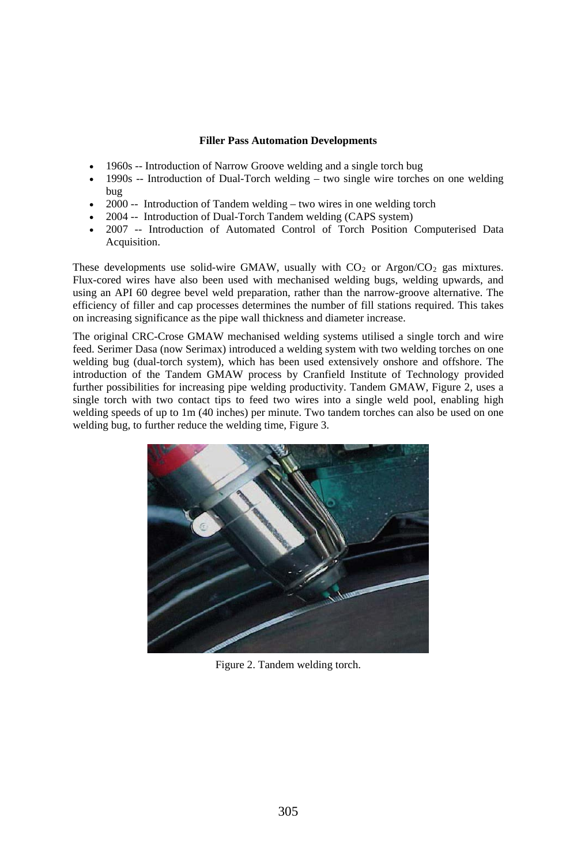# **Filler Pass Automation Developments**

- 1960s -- Introduction of Narrow Groove welding and a single torch bug
- $1990s$  -- Introduction of Dual-Torch welding two single wire torches on one welding bug
- $2000 -$  Introduction of Tandem welding two wires in one welding torch
- 2004 -- Introduction of Dual-Torch Tandem welding (CAPS system)
- 2007 -- Introduction of Automated Control of Torch Position Computerised Data Acquisition.

These developments use solid-wire GMAW, usually with  $CO<sub>2</sub>$  or Argon/CO<sub>2</sub> gas mixtures. Flux-cored wires have also been used with mechanised welding bugs, welding upwards, and using an API 60 degree bevel weld preparation, rather than the narrow-groove alternative. The efficiency of filler and cap processes determines the number of fill stations required. This takes on increasing significance as the pipe wall thickness and diameter increase.

The original CRC-Crose GMAW mechanised welding systems utilised a single torch and wire feed. Serimer Dasa (now Serimax) introduced a welding system with two welding torches on one welding bug (dual-torch system), which has been used extensively onshore and offshore. The introduction of the Tandem GMAW process by Cranfield Institute of Technology provided further possibilities for increasing pipe welding productivity. Tandem GMAW, Figure 2, uses a single torch with two contact tips to feed two wires into a single weld pool, enabling high welding speeds of up to 1m (40 inches) per minute. Two tandem torches can also be used on one welding bug, to further reduce the welding time, Figure 3.



Figure 2. Tandem welding torch.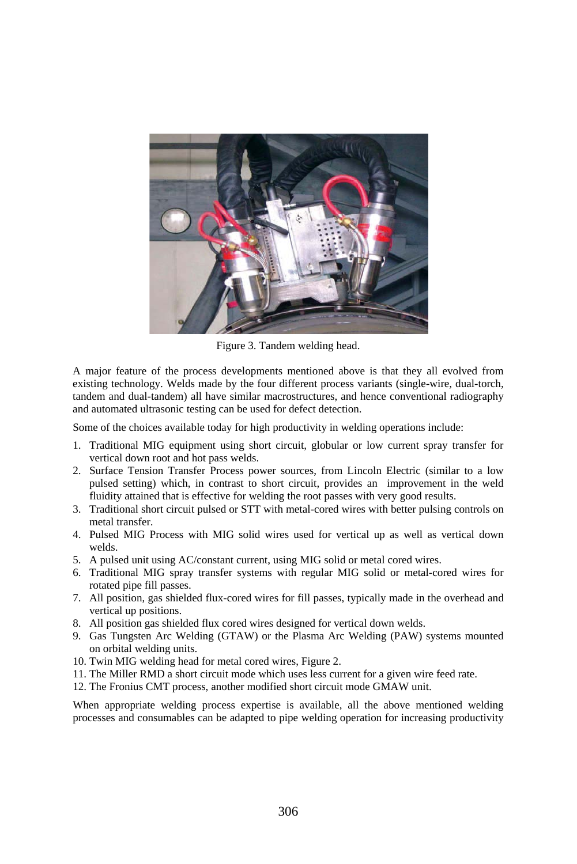

Figure 3. Tandem welding head.

A major feature of the process developments mentioned above is that they all evolved from existing technology. Welds made by the four different process variants (single-wire, dual-torch, tandem and dual-tandem) all have similar macrostructures, and hence conventional radiography and automated ultrasonic testing can be used for defect detection.

Some of the choices available today for high productivity in welding operations include:

- 1. Traditional MIG equipment using short circuit, globular or low current spray transfer for vertical down root and hot pass welds.
- 2. Surface Tension Transfer Process power sources, from Lincoln Electric (similar to a low pulsed setting) which, in contrast to short circuit, provides an improvement in the weld fluidity attained that is effective for welding the root passes with very good results.
- 3. Traditional short circuit pulsed or STT with metal-cored wires with better pulsing controls on metal transfer.
- 4. Pulsed MIG Process with MIG solid wires used for vertical up as well as vertical down welds.
- 5. A pulsed unit using AC/constant current, using MIG solid or metal cored wires.
- 6. Traditional MIG spray transfer systems with regular MIG solid or metal-cored wires for rotated pipe fill passes.
- 7. All position, gas shielded flux-cored wires for fill passes, typically made in the overhead and vertical up positions.
- 8. All position gas shielded flux cored wires designed for vertical down welds.
- 9. Gas Tungsten Arc Welding (GTAW) or the Plasma Arc Welding (PAW) systems mounted on orbital welding units.
- 10. Twin MIG welding head for metal cored wires, Figure 2.
- 11. The Miller RMD a short circuit mode which uses less current for a given wire feed rate.
- 12. The Fronius CMT process, another modified short circuit mode GMAW unit.

When appropriate welding process expertise is available, all the above mentioned welding processes and consumables can be adapted to pipe welding operation for increasing productivity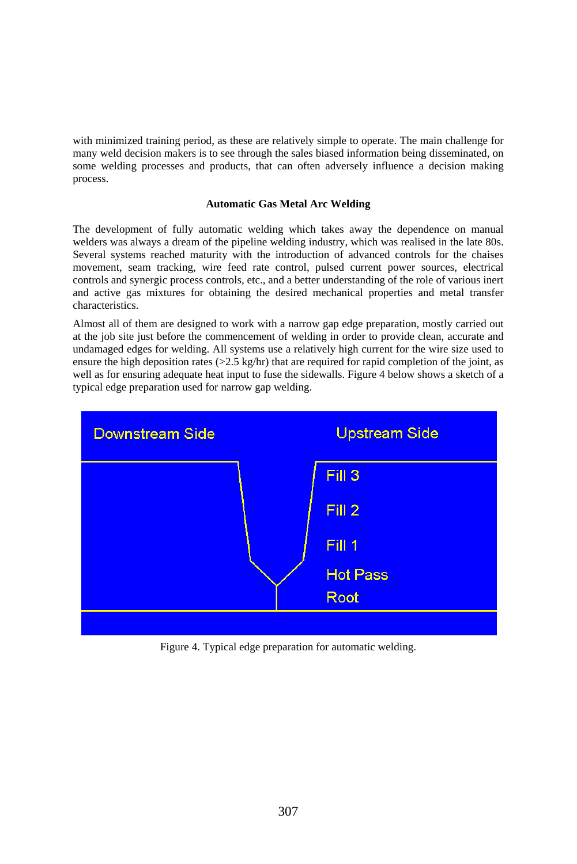with minimized training period, as these are relatively simple to operate. The main challenge for many weld decision makers is to see through the sales biased information being disseminated, on some welding processes and products, that can often adversely influence a decision making process.

### **Automatic Gas Metal Arc Welding**

The development of fully automatic welding which takes away the dependence on manual welders was always a dream of the pipeline welding industry, which was realised in the late 80s. Several systems reached maturity with the introduction of advanced controls for the chaises movement, seam tracking, wire feed rate control, pulsed current power sources, electrical controls and synergic process controls, etc., and a better understanding of the role of various inert and active gas mixtures for obtaining the desired mechanical properties and metal transfer characteristics.

Almost all of them are designed to work with a narrow gap edge preparation, mostly carried out at the job site just before the commencement of welding in order to provide clean, accurate and undamaged edges for welding. All systems use a relatively high current for the wire size used to ensure the high deposition rates  $(>=2.5 \text{ kg/hr})$  that are required for rapid completion of the joint, as well as for ensuring adequate heat input to fuse the sidewalls. Figure 4 below shows a sketch of a typical edge preparation used for narrow gap welding.



Figure 4. Typical edge preparation for automatic welding.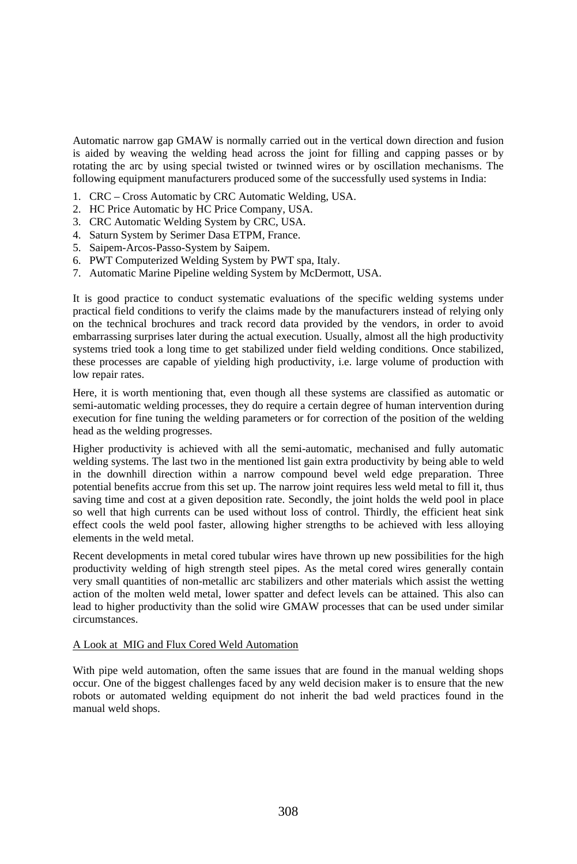Automatic narrow gap GMAW is normally carried out in the vertical down direction and fusion is aided by weaving the welding head across the joint for filling and capping passes or by rotating the arc by using special twisted or twinned wires or by oscillation mechanisms. The following equipment manufacturers produced some of the successfully used systems in India:

- 1. CRC Cross Automatic by CRC Automatic Welding, USA.
- 2. HC Price Automatic by HC Price Company, USA.
- 3. CRC Automatic Welding System by CRC, USA.
- 4. Saturn System by Serimer Dasa ETPM, France.
- 5. Saipem-Arcos-Passo-System by Saipem.
- 6. PWT Computerized Welding System by PWT spa, Italy.
- 7. Automatic Marine Pipeline welding System by McDermott, USA.

It is good practice to conduct systematic evaluations of the specific welding systems under practical field conditions to verify the claims made by the manufacturers instead of relying only on the technical brochures and track record data provided by the vendors, in order to avoid embarrassing surprises later during the actual execution. Usually, almost all the high productivity systems tried took a long time to get stabilized under field welding conditions. Once stabilized, these processes are capable of yielding high productivity, i.e. large volume of production with low repair rates.

Here, it is worth mentioning that, even though all these systems are classified as automatic or semi-automatic welding processes, they do require a certain degree of human intervention during execution for fine tuning the welding parameters or for correction of the position of the welding head as the welding progresses.

Higher productivity is achieved with all the semi-automatic, mechanised and fully automatic welding systems. The last two in the mentioned list gain extra productivity by being able to weld in the downhill direction within a narrow compound bevel weld edge preparation. Three potential benefits accrue from this set up. The narrow joint requires less weld metal to fill it, thus saving time and cost at a given deposition rate. Secondly, the joint holds the weld pool in place so well that high currents can be used without loss of control. Thirdly, the efficient heat sink effect cools the weld pool faster, allowing higher strengths to be achieved with less alloying elements in the weld metal.

Recent developments in metal cored tubular wires have thrown up new possibilities for the high productivity welding of high strength steel pipes. As the metal cored wires generally contain very small quantities of non-metallic arc stabilizers and other materials which assist the wetting action of the molten weld metal, lower spatter and defect levels can be attained. This also can lead to higher productivity than the solid wire GMAW processes that can be used under similar circumstances.

### A Look at MIG and Flux Cored Weld Automation

With pipe weld automation, often the same issues that are found in the manual welding shops occur. One of the biggest challenges faced by any weld decision maker is to ensure that the new robots or automated welding equipment do not inherit the bad weld practices found in the manual weld shops.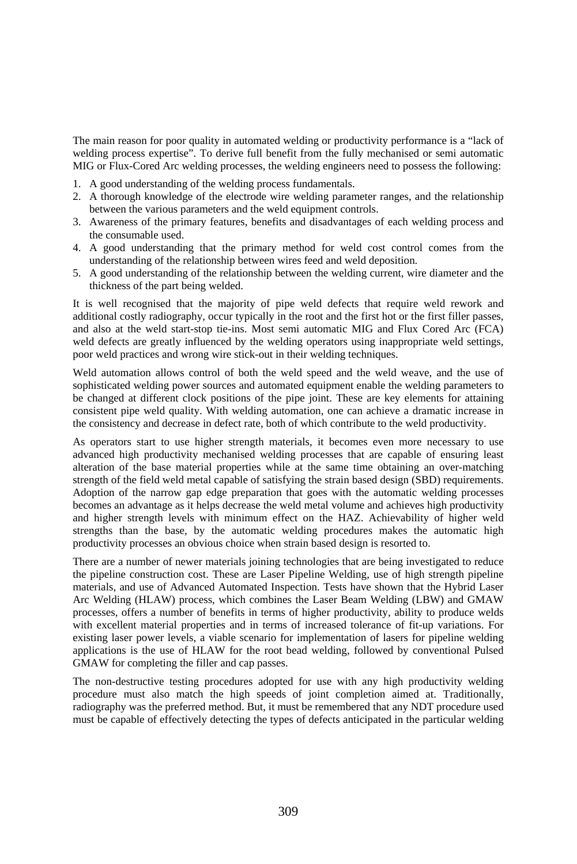The main reason for poor quality in automated welding or productivity performance is a "lack of welding process expertise". To derive full benefit from the fully mechanised or semi automatic MIG or Flux-Cored Arc welding processes, the welding engineers need to possess the following:

- 1. A good understanding of the welding process fundamentals.
- 2. A thorough knowledge of the electrode wire welding parameter ranges, and the relationship between the various parameters and the weld equipment controls.
- 3. Awareness of the primary features, benefits and disadvantages of each welding process and the consumable used.
- 4. A good understanding that the primary method for weld cost control comes from the understanding of the relationship between wires feed and weld deposition.
- 5. A good understanding of the relationship between the welding current, wire diameter and the thickness of the part being welded.

It is well recognised that the majority of pipe weld defects that require weld rework and additional costly radiography, occur typically in the root and the first hot or the first filler passes, and also at the weld start-stop tie-ins. Most semi automatic MIG and Flux Cored Arc (FCA) weld defects are greatly influenced by the welding operators using inappropriate weld settings, poor weld practices and wrong wire stick-out in their welding techniques.

Weld automation allows control of both the weld speed and the weld weave, and the use of sophisticated welding power sources and automated equipment enable the welding parameters to be changed at different clock positions of the pipe joint. These are key elements for attaining consistent pipe weld quality. With welding automation, one can achieve a dramatic increase in the consistency and decrease in defect rate, both of which contribute to the weld productivity.

As operators start to use higher strength materials, it becomes even more necessary to use advanced high productivity mechanised welding processes that are capable of ensuring least alteration of the base material properties while at the same time obtaining an over-matching strength of the field weld metal capable of satisfying the strain based design (SBD) requirements. Adoption of the narrow gap edge preparation that goes with the automatic welding processes becomes an advantage as it helps decrease the weld metal volume and achieves high productivity and higher strength levels with minimum effect on the HAZ. Achievability of higher weld strengths than the base, by the automatic welding procedures makes the automatic high productivity processes an obvious choice when strain based design is resorted to.

There are a number of newer materials joining technologies that are being investigated to reduce the pipeline construction cost. These are Laser Pipeline Welding, use of high strength pipeline materials, and use of Advanced Automated Inspection. Tests have shown that the Hybrid Laser Arc Welding (HLAW) process, which combines the Laser Beam Welding (LBW) and GMAW processes, offers a number of benefits in terms of higher productivity, ability to produce welds with excellent material properties and in terms of increased tolerance of fit-up variations. For existing laser power levels, a viable scenario for implementation of lasers for pipeline welding applications is the use of HLAW for the root bead welding, followed by conventional Pulsed GMAW for completing the filler and cap passes.

The non-destructive testing procedures adopted for use with any high productivity welding procedure must also match the high speeds of joint completion aimed at. Traditionally, radiography was the preferred method. But, it must be remembered that any NDT procedure used must be capable of effectively detecting the types of defects anticipated in the particular welding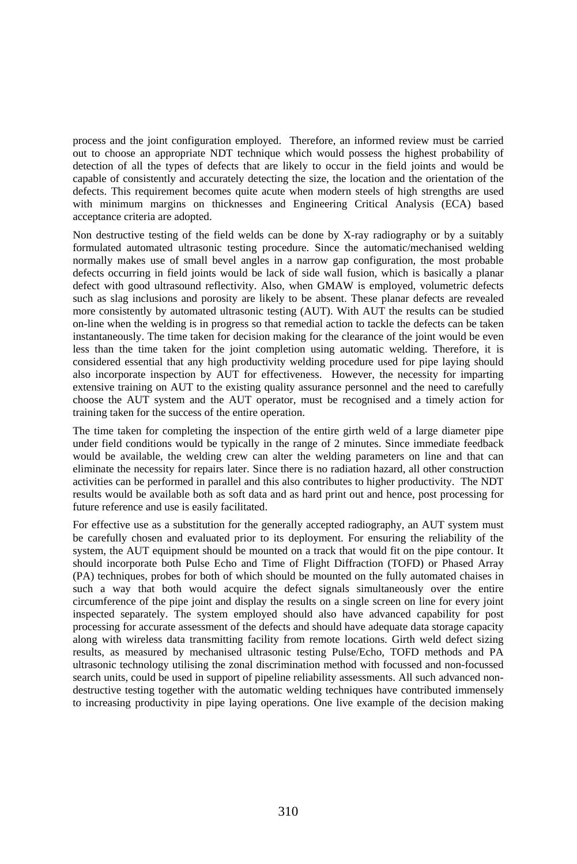process and the joint configuration employed. Therefore, an informed review must be carried out to choose an appropriate NDT technique which would possess the highest probability of detection of all the types of defects that are likely to occur in the field joints and would be capable of consistently and accurately detecting the size, the location and the orientation of the defects. This requirement becomes quite acute when modern steels of high strengths are used with minimum margins on thicknesses and Engineering Critical Analysis (ECA) based acceptance criteria are adopted.

Non destructive testing of the field welds can be done by X-ray radiography or by a suitably formulated automated ultrasonic testing procedure. Since the automatic/mechanised welding normally makes use of small bevel angles in a narrow gap configuration, the most probable defects occurring in field joints would be lack of side wall fusion, which is basically a planar defect with good ultrasound reflectivity. Also, when GMAW is employed, volumetric defects such as slag inclusions and porosity are likely to be absent. These planar defects are revealed more consistently by automated ultrasonic testing (AUT). With AUT the results can be studied on-line when the welding is in progress so that remedial action to tackle the defects can be taken instantaneously. The time taken for decision making for the clearance of the joint would be even less than the time taken for the joint completion using automatic welding. Therefore, it is considered essential that any high productivity welding procedure used for pipe laying should also incorporate inspection by AUT for effectiveness. However, the necessity for imparting extensive training on AUT to the existing quality assurance personnel and the need to carefully choose the AUT system and the AUT operator, must be recognised and a timely action for training taken for the success of the entire operation.

The time taken for completing the inspection of the entire girth weld of a large diameter pipe under field conditions would be typically in the range of 2 minutes. Since immediate feedback would be available, the welding crew can alter the welding parameters on line and that can eliminate the necessity for repairs later. Since there is no radiation hazard, all other construction activities can be performed in parallel and this also contributes to higher productivity. The NDT results would be available both as soft data and as hard print out and hence, post processing for future reference and use is easily facilitated.

For effective use as a substitution for the generally accepted radiography, an AUT system must be carefully chosen and evaluated prior to its deployment. For ensuring the reliability of the system, the AUT equipment should be mounted on a track that would fit on the pipe contour. It should incorporate both Pulse Echo and Time of Flight Diffraction (TOFD) or Phased Array (PA) techniques, probes for both of which should be mounted on the fully automated chaises in such a way that both would acquire the defect signals simultaneously over the entire circumference of the pipe joint and display the results on a single screen on line for every joint inspected separately. The system employed should also have advanced capability for post processing for accurate assessment of the defects and should have adequate data storage capacity along with wireless data transmitting facility from remote locations. Girth weld defect sizing results, as measured by mechanised ultrasonic testing Pulse/Echo, TOFD methods and PA ultrasonic technology utilising the zonal discrimination method with focussed and non-focussed search units, could be used in support of pipeline reliability assessments. All such advanced nondestructive testing together with the automatic welding techniques have contributed immensely to increasing productivity in pipe laying operations. One live example of the decision making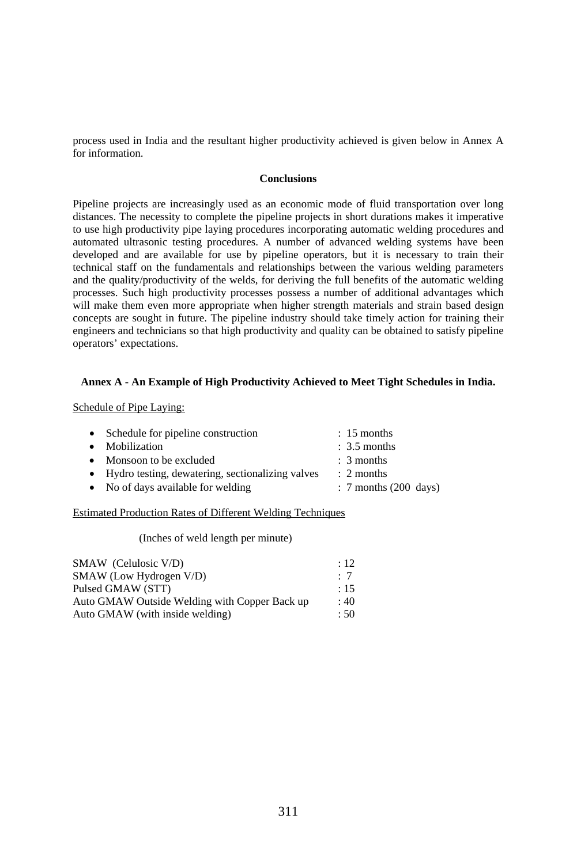process used in India and the resultant higher productivity achieved is given below in Annex A for information.

### **Conclusions**

Pipeline projects are increasingly used as an economic mode of fluid transportation over long distances. The necessity to complete the pipeline projects in short durations makes it imperative to use high productivity pipe laying procedures incorporating automatic welding procedures and automated ultrasonic testing procedures. A number of advanced welding systems have been developed and are available for use by pipeline operators, but it is necessary to train their technical staff on the fundamentals and relationships between the various welding parameters and the quality/productivity of the welds, for deriving the full benefits of the automatic welding processes. Such high productivity processes possess a number of additional advantages which will make them even more appropriate when higher strength materials and strain based design concepts are sought in future. The pipeline industry should take timely action for training their engineers and technicians so that high productivity and quality can be obtained to satisfy pipeline operators' expectations.

### **Annex A - An Example of High Productivity Achieved to Meet Tight Schedules in India.**

Schedule of Pipe Laying:

| • Schedule for pipeline construction               | $: 15$ months           |
|----------------------------------------------------|-------------------------|
| • Mobilization                                     | $\therefore$ 3.5 months |
| • Monsoon to be excluded                           | $\therefore$ 3 months   |
| • Hydro testing, dewatering, sectionalizing valves | $\therefore$ 2 months   |
| • No of days available for welding                 | $: 7$ months (200 days) |
|                                                    |                         |

# Estimated Production Rates of Different Welding Techniques

(Inches of weld length per minute)

| SMAW (Celulosic V/D)                          | $\div$ 12 |
|-----------------------------------------------|-----------|
| SMAW (Low Hydrogen V/D)                       | $\cdot$ 7 |
| Pulsed GMAW (STT)                             | $\div$ 15 |
| Auto GMAW Outside Welding with Copper Back up | :40       |
| Auto GMAW (with inside welding)               | : 50      |
|                                               |           |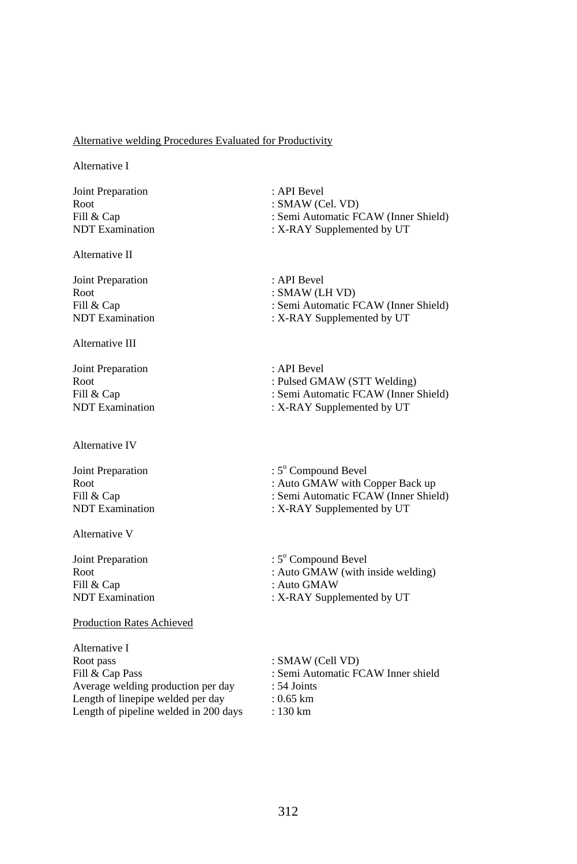# Alternative welding Procedures Evaluated for Productivity

Alternative I

Joint Preparation : API Bevel

Alternative II

Joint Preparation : API Bevel

Alternative III

Joint Preparation : API Bevel

Alternative IV

Alternative V

Fill & Cap : Auto GMAW

# Production Rates Achieved

Alternative I Root pass<br>
Fill & Cap Pass<br>
Fill & Cap Pass<br>
Fill & Cap Pass<br>
Fill & Cap Pass<br>
Fill & Cap Pass<br>
Fill & Cap Pass<br>
Fill & Cap Pass<br>
Fill & Cap Pass<br>
Fill & Cap Pass<br>
Fill and the Section of the Section of the Section of the Average welding production per day : 54 Joints Length of linepipe welded per day : 0.65 km Length of pipeline welded in 200 days : 130 km

Root : SMAW (Cel. VD)<br>Fill & Cap : Semi Automatic F Fill & Cap : Semi Automatic FCAW (Inner Shield)<br>
NDT Examination : X-RAY Supplemented by UT : X-RAY Supplemented by UT

Root<br>Fill & Cap Fill & Cap (1999) : Semi-Automatic F : Semi Automatic FCAW (Inner Shield) NDT Examination : X-RAY Supplemented by UT

Root : Pulsed GMAW (STT Welding) Fill & Cap : Semi Automatic FCAW (Inner Shield)<br>
NDT Examination : X-RAY Supplemented by UT : X-RAY Supplemented by UT

Joint Preparation : 5<sup>o</sup> Compound Bevel Root : Auto GMAW with Copper Back up<br>Fill & Cap : Semi Automatic FCAW (Inner Shie Fill & Cap : Semi Automatic FCAW (Inner Shield) : X-RAY Supplemented by UT

Joint Preparation : 5° Compound Bevel Root : Auto GMAW (with inside welding)<br>Fill & Cap : Auto GMAW : X-RAY Supplemented by UT

: Semi Automatic FCAW Inner shield